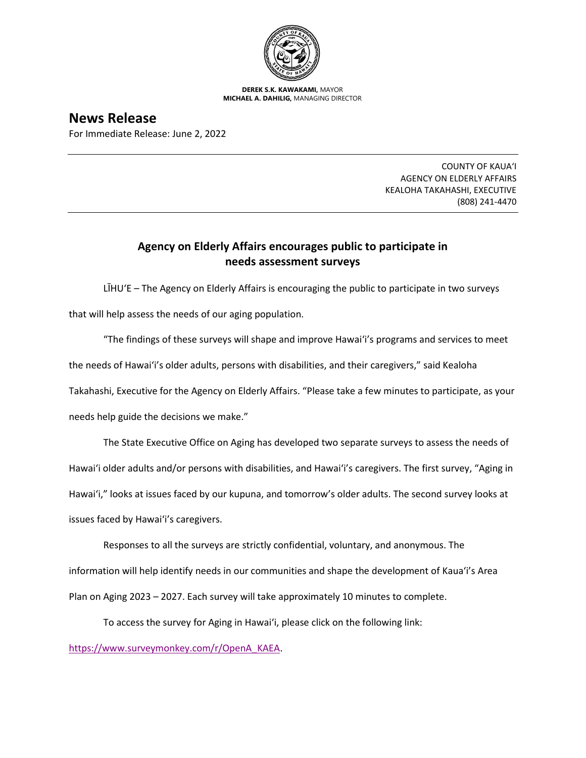

**DEREK S.K. KAWAKAMI,** MAYOR **MICHAEL A. DAHILIG,** MANAGING DIRECTOR

**News Release** For Immediate Release: June 2, 2022

> COUNTY OF KAUA'I AGENCY ON ELDERLY AFFAIRS KEALOHA TAKAHASHI, EXECUTIVE (808) 241-4470

## **Agency on Elderly Affairs encourages public to participate in needs assessment surveys**

LĪHU'E – The Agency on Elderly Affairs is encouraging the public to participate in two surveys that will help assess the needs of our aging population.

"The findings of these surveys will shape and improve Hawai'i's programs and services to meet the needs of Hawai'i's older adults, persons with disabilities, and their caregivers," said Kealoha Takahashi, Executive for the Agency on Elderly Affairs. "Please take a few minutes to participate, as your needs help guide the decisions we make."

The State Executive Office on Aging has developed two separate surveys to assess the needs of Hawai'i older adults and/or persons with disabilities, and Hawai'i's caregivers. The first survey, "Aging in Hawai'i," looks at issues faced by our kupuna, and tomorrow's older adults. The second survey looks at issues faced by Hawai'i's caregivers.

Responses to all the surveys are strictly confidential, voluntary, and anonymous. The information will help identify needs in our communities and shape the development of Kaua'i's Area Plan on Aging 2023 – 2027. Each survey will take approximately 10 minutes to complete.

To access the survey for Aging in Hawai'i, please click on the following link:

[https://www.surveymonkey.com/r/OpenA\\_KAEA.](https://www.surveymonkey.com/r/OpenA_KAEA)